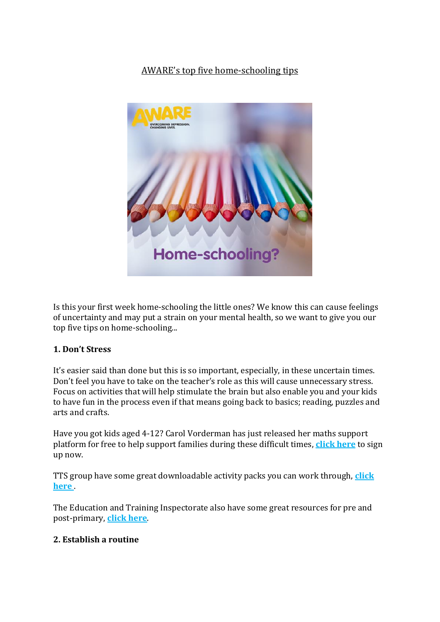# AWARE's top five home-schooling tips



Is this your first week home-schooling the little ones? We know this can cause feelings of uncertainty and may put a strain on your mental health, so we want to give you our top five tips on home-schooling...

## **1. Don't Stress**

It's easier said than done but this is so important, especially, in these uncertain times. Don't feel you have to take on the teacher's role as this will cause unnecessary stress. Focus on activities that will help stimulate the brain but also enable you and your kids to have fun in the process even if that means going back to basics; reading, puzzles and arts and crafts.

Have you got kids aged 4-12? Carol Vorderman has just released her maths support platform for free to help support families during these difficult times, **[click here](https://www.themathsfactor.com/)** to sign up now.

TTS group have some great downloadable activity packs you can work through, **[click](https://www.tts-group.co.uk/home+learning+activities.html)  [here](https://www.tts-group.co.uk/home+learning+activities.html)** .

The Education and Training Inspectorate also have some great resources for pre and post-primary, **[click here](https://www.etini.gov.uk/sites/etini.gov.uk/files/publications/ETI%20Advice%20on%20Remote%20Learning%20March%202020.pdf)**.

## **2. Establish a routine**